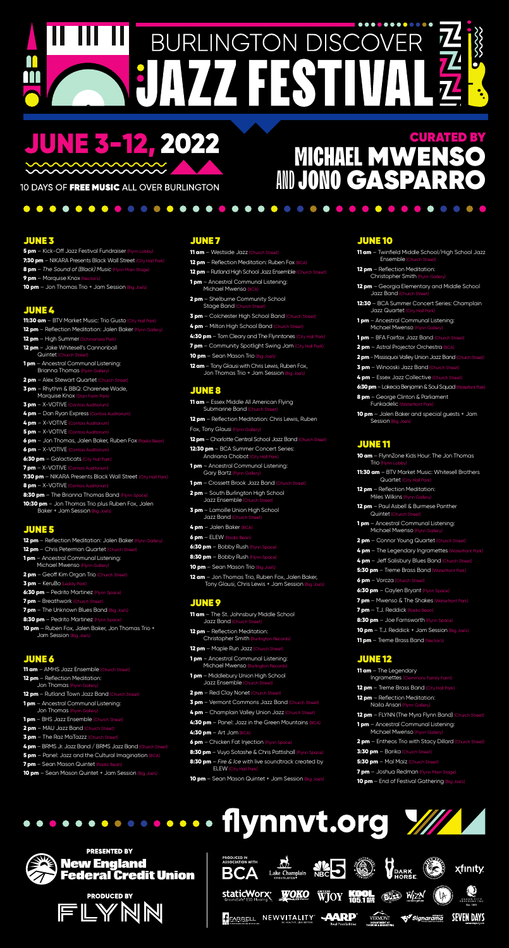## ............ **BURLINGTON DISCO** 1158

# **JUNE 3-12, 2022**

10 DAYS OF FREE MUSIC ALL OVER BURLINGTON

. . . . . . . . . . . . . . .

### JUNE 3

- 5 pm Kick-Off Jazz Festival Fundraiser (Flynn Lobby) 7:30 pm - NIKARA Presents Black Wall Street (City Hall Park)
- 8 pm *The Sound of (Black) Music* (Flynn Main Stage)
- 9 pm Marquise Knox (Nectar's)
- **10 pm**  $-$  Jon Thomas Trio  $+$  Jam Session (Big Joe's)

### JUNE 4

- 11:30 am BTV Market Music: Trio Gusto (City Hall Park)
- 12 pm Reflection Meditation: Jalen Baker (Flynn Gallery)
- 12 pm High Summer (Schmanska Park)
- 12 pm Jake Whitesell's Cannonball Quintet (Church Street)
- **1 pm** Ancestral Communal Listening: Brianna Thomas (Flynn Gallery)
- **2 pm** Alex Stewart Quartet (Church Street)
- 3 pm Rhythm & BBQ: Charenee Wade, Marquise Knox (Starr Farm Park)
- 3 pm X-VOTIVE (Contois Auditorium)
- 4 pm Dan Ryan Express (Contois Auditorium
- 4 pm X-VOTIVE (Contois Auditorium)
- **5 pm** X-VOTIVE (Contois Auditorium)
- 6 pm Jon Thomas, Jalen Baker, Ruben Fox (Radio Bean)
- 6 pm X-VOTIVE (Contois Auditorium)
- 6:30 pm Galacticats (City Hall Park)
- 7 pm X-VOTIVE (Contois Auditorium
- 7:30 pm NIKARA Presents Black Wall Street (City Hall Park)
- 8 pm X-VOTIVE (Contois Auditorium)
- 8:30 pm The Brianna Thomas Band (Flynn Space)
- 10:30 pm Jon Thomas Trio plus Ruben Fox, Jalen Baker + Jam Session (Big Joe's)

### JUNE 5

- 12 pm Reflection Meditation: Jalen Baker (Flynn Gallery)
- 12 pm Chris Peterman Quartet (Church Street)
- 1 pm Ancestral Communal Listening: Michael Mwenso (Flynn Gallery)
- $2$  pm Geoff Kim Organ Trio (Church Street)

### JUNE 6

- 11 am AMHS Jazz Ensemble (Church Street)
- 12 pm Reflection Meditation: Jon Thomas (Fly
- 12 pm Rutland Town Jazz Band (Church Street)
- **1 pm** Ancestral Communal Listening: Jon Thomas (Flynn Ga
- 1 pm BHS Jazz Ensemble (Church Street)
- 2 pm MAU Jazz Band (Church Street)
- **3 pm** The Raz MaTazzz (Church Street)
- 4 pm BRMS Jr. Jazz Band / BRMS Jazz Band (Church Str
- **5 pm** Panel: Jazz and the Cultural Imagination (BCA)
- 7 pm Sean Mason Quintet (Radio Bean)
- 10 pm Sean Mason Quintet + Jam Session (Big Joe's)

### JUNE 7

- 11 am Westside Jazz (Church Street)
- **12 pm** Reflection Meditation: Ruben Fox  $(BCA)$
- 12 pm Rutland High School Jazz Ensemble (Church Street)

. . . . . . . . .

- **1 pm** Ancestral Communal Listening: Michael Mwenso (BCA)
- **2 pm** Shelburne Community School Stage Band (Chu
- **3 pm** Colchester High School Band (Church Street)
- 4 pm Milton High School Band (Church Street)
- 4:30 pm Tom Cleary and The Flynntones (City Hall Park)
- **7 pm** Community Spotlight Swing Jam (City Hall Park)
- **10 pm** Sean Mason Trio (Big Joe's)
- 12 am Tony Glausi with Chris Lewis, Ruben Fox, Jon Thomas Trio + Jam Session (Big Joe's

### JUNE 8

- 11 am Essex Middle All American Flying Submarine Band (Church Street
- 12 pm Reflection Meditation: Chris Lewis, Ruben
- Fox, Tony Glausi (Flynn Gallery)
- 12 pm Charlotte Central School Jazz Band (Church Street
- 12:30 pm BCA Summer Concert Series: Andriana Chobot (City Hall Park
- **1 pm** Ancestral Communal Listening: Gary Bartz (Flynn Gall
- **1 pm** Crossett Brook Jazz Band (Church Street)
- **2 pm** South Burlington High School Jazz Ensemble (Church Street)
- **3 pm** Lamoille Union High School Jazz Band (Church S
- 4 pm Jalen Baker (BCA)
- 6 pm ELEW (Radio Bean)
- 6:30 pm Bobby Rush (Flynn Space)
- 8:30 pm Bobby Rush (Flynn Space)
- 10 pm Sean Mason Trio (Big Joe's)
- $-$  Jon Thomas Trio, Rub

### CURATED BY **MICHAEL MWEN** AND JONO GASPAR

Tony Glausi, Chris Lewis + Jam Session (Big Joe's)

### JUNE 9

- 11 am The St. Johnsbury Middle School Jazz Band (Chur
- 12 pm Reflection Meditation: Christopher Smith (Burlington Records)
- 12 pm Maple Run Jazz (Church Street)
- **1 pm** Ancestral Communal Listening: Michael Mwenso (Burlington I
- **1 pm** Middlebury Union High School Jazz Ensemble (Church Street)
- 2 pm Red Clay Nonet (Church Street)
- 3 pm Vermont Commons Jazz Band (Church Street)
- 4 pm Champlain Valley Union Jazz (Church Street)
- 4:30 pm Panel: Jazz in the Green Mountains (BCA)
- $4:30$  pm  $-$  Art Jam (BCA)
- **6 pm** Chicken Fat Injection (Flynn Space)
- 8:30 pm Vuyo Sotashe & Chris Pattishall (Flynn Space)
- 8:30 pm *Fire & Ice* with live soundtrack created by ELEW (City
- **10 pm** Sean Mason Quintet + Jam Session (Big Joe's)

 $6$  pm – Vorcza ( 6:30 pm - Caylen Bryant (Flynn Space) **7 pm** – Mwenso & The Shakes (Waterfront Park) 7 pm - T.J. Reddick (Radio Bean) 8:30 pm - Joe Farnsworth (Flynn Space) 10 pm - T.J. Reddick + Jam Session (Big Joe's) **11 pm** – Treme Brass Band (Nectar's)

### JUNE 10

11 am - Twinfield Middle School/High School Jazz Ensemble (Church Street)

 $\bullet$ 

12 pm - Reflection Meditation: Christopher Smith (Flynn Ga

- 12 pm Georgia Elementary and Middle School Jazz Band (Church Street)
- 12:30 BCA Summer Concert Series: Champlain Jazz Quartet (City Hall Park)
- 1 pm Ancestral Communal Listening: Michael Mwenso (Flynn Gallery
- **1 pm** BFA Fairfax Jazz Band (Church Street)
- 2 pm Astral Projector Orchestra (BCA)
- 2 pm Missisquoi Valley Union Jazz Band (Church Street)
- **3 pm** Winooski Jazz Band (Church Street)
- 4 pm Essex Jazz Collective (Church Stre
- 6:30 pm Lakecia Benjamin & Soul Squad (Waterfont Park)
- 8 pm George Clinton & Parliament Funkadelic (Waterfront Park)
- **10 pm** Jalen Baker and special guests + Jam Session (Big Joe's)

### JUNE 11

- 10 am FlynnZone Kids Hour: The Jon Thomas Trio (Flynn Lobby)
- 11:30 am BTV Market Music: Whitesell Brothers Quartet (City Hall Park)
- 12 pm Reflection Meditation: Miles Wilkins (Flynn Galler
- 12 pm Paul Asbell & Burmese Panther Quintet (Church Street)
- **1 pm** Ancestral Communal Listening: Michael Mwenso (Flynn Ga
- **2 pm** Connor Young Quartet (Church Street)
- 4 pm The Legendary Ingramettes (Waterfront Park)
- 4 pm Jeff Salisbury Blues Band (Church Street)
- 5:30 pm Treme Brass Band (Waterfront Park)

3 pm – KeruBo (Leddy Park) 6:30 pm - Pedrito Martinez (Flynn Space) 7 pm - Breathwork (Church Street) **7 pm** - The Unknown Blues Band (Big Joe's) 8:30 pm - Pedrito Martinez (Flynn Space 10 pm - Ruben Fox, Jalen Baker, Jon Thomas Trio + Jam Session (Big Joe's)

### JUNE 12

- 11 am The Legendary Ingramettes (Clemmons Family Farm)
- 12 pm Treme Brass Band (City Hall Park)
- 12 pm Reflection Meditation: Naila Ansari (Flynn Galle
- 12 pm FLYNN (The Myra Flynn Band) (Church Street)
- **1 pm** Ancestral Communal Listening: Michael Mwenso (Flynn
- **2 pm** Entheos Trio with Stacy Dillard (Church Street)
- 3:30 pm Barika (Church Street)
- 5:30 pm Mal Maïz (Church Street)
- 7 pm Joshua Redman (Flynn Main Stage)
- **10 pm** End of Festival Gathering (Big Joe's)

.............. flynnyt.org